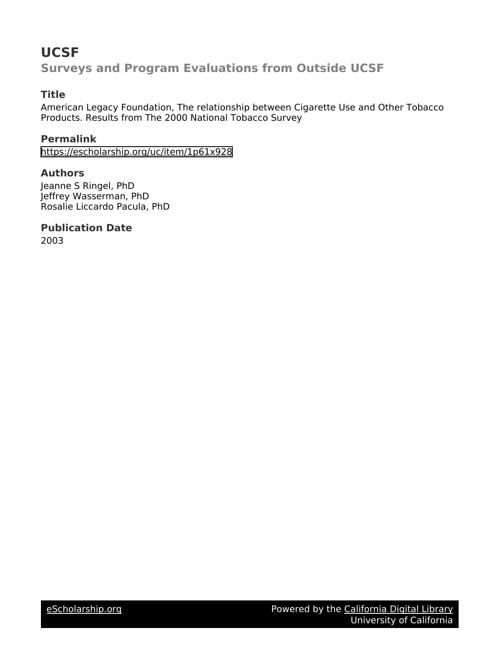## **UCSF**

**Surveys and Program Evaluations from Outside UCSF**

## **Title**

American Legacy Foundation, The relationship between Cigarette Use and Other Tobacco Products. Results from The 2000 National Tobacco Survey

## **Permalink**

<https://escholarship.org/uc/item/1p61x928>

## **Authors**

Jeanne S Ringel, PhD Jeffrey Wasserman, PhD Rosalie Liccardo Pacula, PhD

## **Publication Date**

2003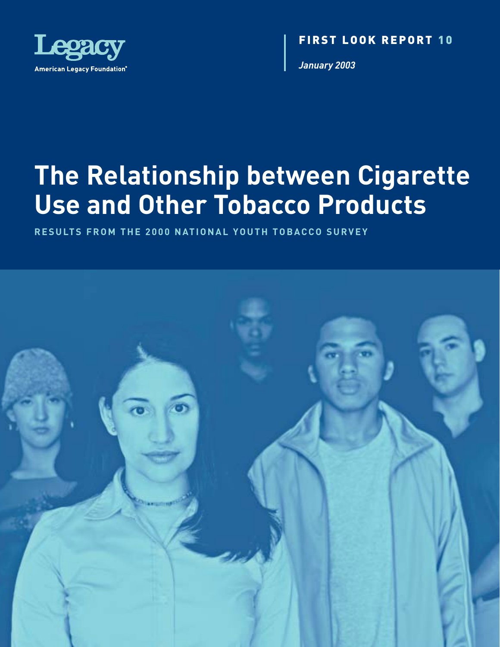

FIRST LOOK REPORT 107

*January 2003*

# **The Relationship between Cigarette Use and Other Tobacco Products**

**RESULTS FROM THE 2000 NATIONAL YOUTH TOBACCO SURVEY**

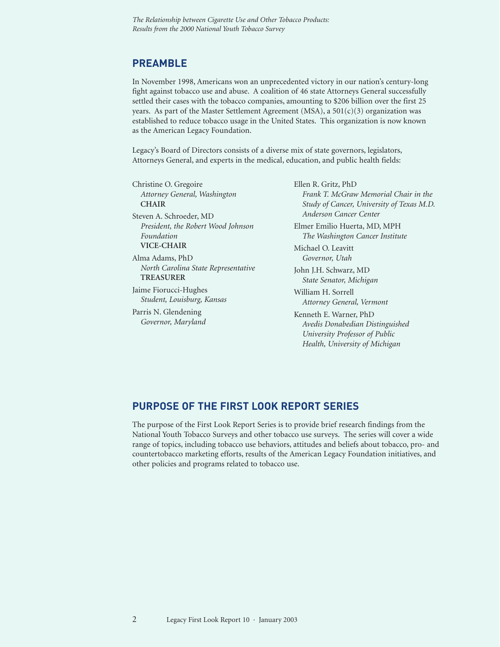## **PREAMBLE**

In November 1998, Americans won an unprecedented victory in our nation's century-long fight against tobacco use and abuse. A coalition of 46 state Attorneys General successfully settled their cases with the tobacco companies, amounting to \$206 billion over the first 25 years. As part of the Master Settlement Agreement (MSA), a  $501(c)(3)$  organization was established to reduce tobacco usage in the United States. This organization is now known as the American Legacy Foundation.

Legacy's Board of Directors consists of a diverse mix of state governors, legislators, Attorneys General, and experts in the medical, education, and public health fields:

Christine O. Gregoire *Attorney General, Washington* **CHAIR**

Steven A. Schroeder, MD *President, the Robert Wood Johnson Foundation* **VICE-CHAIR**

Alma Adams, PhD *North Carolina State Representative* **TREASURER**

Jaime Fiorucci-Hughes *Student, Louisburg, Kansas*

Parris N. Glendening *Governor, Maryland* Ellen R. Gritz, PhD *Frank T. McGraw Memorial Chair in the Study of Cancer, University of Texas M.D. Anderson Cancer Center*

Elmer Emilio Huerta, MD, MPH *The Washington Cancer Institute*

Michael O. Leavitt *Governor, Utah*

John J.H. Schwarz, MD *State Senator, Michigan*

William H. Sorrell *Attorney General, Vermont*

Kenneth E. Warner, PhD *Avedis Donabedian Distinguished University Professor of Public Health, University of Michigan*

#### **PURPOSE OF THE FIRST LOOK REPORT SERIES**

The purpose of the First Look Report Series is to provide brief research findings from the National Youth Tobacco Surveys and other tobacco use surveys. The series will cover a wide range of topics, including tobacco use behaviors, attitudes and beliefs about tobacco, pro- and countertobacco marketing efforts, results of the American Legacy Foundation initiatives, and other policies and programs related to tobacco use.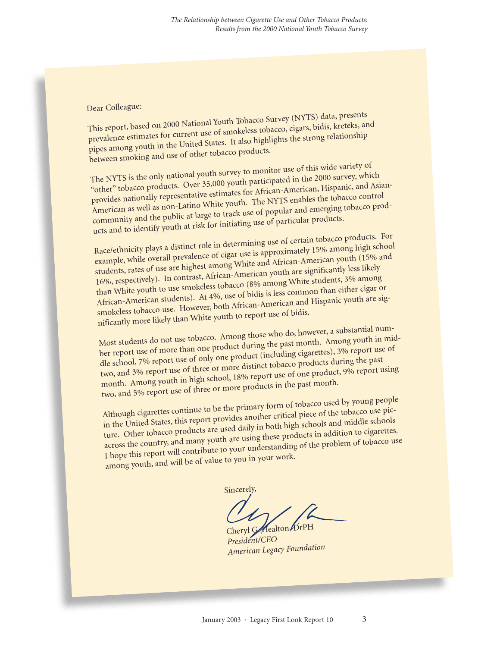#### Dear Colleague:

This report, based on 2000 National Youth Tobacco Survey (NYTS) data, presents prevalence estimates for current use of smokeless tobacco, cigars, bidis, kreteks, and pipes among youth in the United States. It also highlights the strong relationship between smoking and use of other tobacco products.

The NYTS is the only national youth survey to monitor use of this wide variety o<sup>f</sup> "other" tobacco products. Over 35,000 youth participated in the 2000 survey, which provides nationally representative estimates for African-American, Hispanic, and Asian-American as well as non-Latino White youth. The NYTS enables the tobacco contro<sup>l</sup> community and the public at large to track use o<sup>f</sup> popular and emerging tobacco products and to identify youth at risk for initiating use o<sup>f</sup> particular products.

Race/ethnicity plays a distinct role in determining use o<sup>f</sup> certain tobacco products. For example, while overall prevalence of cigar use is approximately 15% among high school students, rates of use are highest among White and African-American youth (15% and 16%, respectively). In contrast, African-American youth are significantly less likely than White youth to use smokeless tobacco (8% among White students, 3% among African-American students). At 4%, use of bidis is less common than either cigar or smokeless tobacco use. However, both African-American and Hispanic youth are significantly more likely than White youth to report use o<sup>f</sup> bidis.

Most students do not use tobacco. Among those who do, however, a substantial number report use of more than one product during the past month. Among youth in middle school, 7% report use of only one product (including cigarettes), 3% report use of two, and 3% report use o<sup>f</sup> three or more distinct tobacco products during the past month. Among youth in high school, 18% report use of one product, 9% report using two, and 5% report use o<sup>f</sup> three or more products in the past month.

Although cigarettes continue to be the primary form of tobacco used by young people in the United States, this report provides another critical piece of the tobacco use picture. Other tobacco products are used daily in both high schools and middle schools across the country, and many youth are using these products in addition to cigarettes. I hope this report will contribute to your understanding o<sup>f</sup> the problem of tobacco use among youth, and will be of value to you in your work.

Sincerely,

Cheryl G. Healton, DrPH *President/CEO American Legacy Foundation*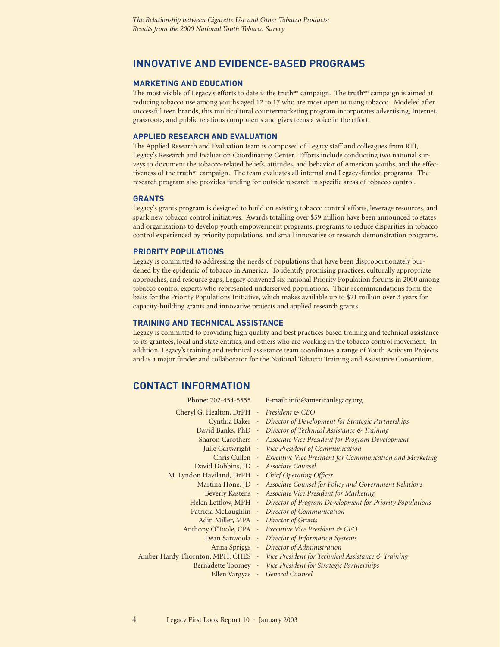#### **INNOVATIVE AND EVIDENCE-BASED PROGRAMS**

#### **MARKETING AND EDUCATION**

The most visible of Legacy's efforts to date is the **truthsm** campaign. The **truthsm** campaign is aimed at reducing tobacco use among youths aged 12 to 17 who are most open to using tobacco. Modeled after successful teen brands, this multicultural countermarketing program incorporates advertising, Internet, grassroots, and public relations components and gives teens a voice in the effort.

#### **APPLIED RESEARCH AND EVALUATION**

The Applied Research and Evaluation team is composed of Legacy staff and colleagues from RTI, Legacy's Research and Evaluation Coordinating Center. Efforts include conducting two national surveys to document the tobacco-related beliefs, attitudes, and behavior of American youths, and the effectiveness of the **truthsm** campaign. The team evaluates all internal and Legacy-funded programs. The research program also provides funding for outside research in specific areas of tobacco control.

#### **GRANTS**

Legacy's grants program is designed to build on existing tobacco control efforts, leverage resources, and spark new tobacco control initiatives. Awards totalling over \$59 million have been announced to states and organizations to develop youth empowerment programs, programs to reduce disparities in tobacco control experienced by priority populations, and small innovative or research demonstration programs.

#### **PRIORITY POPULATIONS**

Legacy is committed to addressing the needs of populations that have been disproportionately burdened by the epidemic of tobacco in America. To identify promising practices, culturally appropriate approaches, and resource gaps, Legacy convened six national Priority Population forums in 2000 among tobacco control experts who represented underserved populations. Their recommendations form the basis for the Priority Populations Initiative, which makes available up to \$21 million over 3 years for capacity-building grants and innovative projects and applied research grants.

#### **TRAINING AND TECHNICAL ASSISTANCE**

Legacy is committed to providing high quality and best practices based training and technical assistance to its grantees, local and state entities, and others who are working in the tobacco control movement. In addition, Legacy's training and technical assistance team coordinates a range of Youth Activism Projects and is a major funder and collaborator for the National Tobacco Training and Assistance Consortium.

#### **CONTACT INFORMATION**

| Phone: 202-454-5555                                |           | E-mail: info@americanlegacy.org                                                      |
|----------------------------------------------------|-----------|--------------------------------------------------------------------------------------|
| Cheryl G. Healton, DrPH · President & CEO          |           |                                                                                      |
|                                                    |           | Cynthia Baker • Director of Development for Strategic Partnerships                   |
| David Banks, PhD .                                 |           | Director of Technical Assistance & Training                                          |
| <b>Sharon Carothers</b>                            | $\sim$    | Associate Vice President for Program Development                                     |
|                                                    |           | Julie Cartwright Vice President of Communication                                     |
| Chris Cullen ·                                     |           | Executive Vice President for Communication and Marketing                             |
| David Dobbins, JD · Associate Counsel              |           |                                                                                      |
| M. Lyndon Haviland, DrPH · Chief Operating Officer |           |                                                                                      |
|                                                    |           | Martina Hone, JD · Associate Counsel for Policy and Government Relations             |
| Beverly Kastens ·                                  |           | Associate Vice President for Marketing                                               |
| Helen Lettlow, MPH ·                               |           | Director of Program Development for Priority Populations                             |
| Patricia McLaughlin ·                              |           | Director of Communication                                                            |
| Adin Miller, MPA .                                 |           | Director of Grants                                                                   |
|                                                    |           | Anthony O'Toole, CPA Executive Vice President & CFO                                  |
|                                                    |           | Dean Sanwoola · Director of Information Systems                                      |
|                                                    |           | Anna Spriggs Director of Administration                                              |
|                                                    |           | Amber Hardy Thornton, MPH, CHES · Vice President for Technical Assistance & Training |
|                                                    |           | Bernadette Toomey · Vice President for Strategic Partnerships                        |
| Ellen Vargyas                                      | $\bullet$ | General Counsel                                                                      |
|                                                    |           |                                                                                      |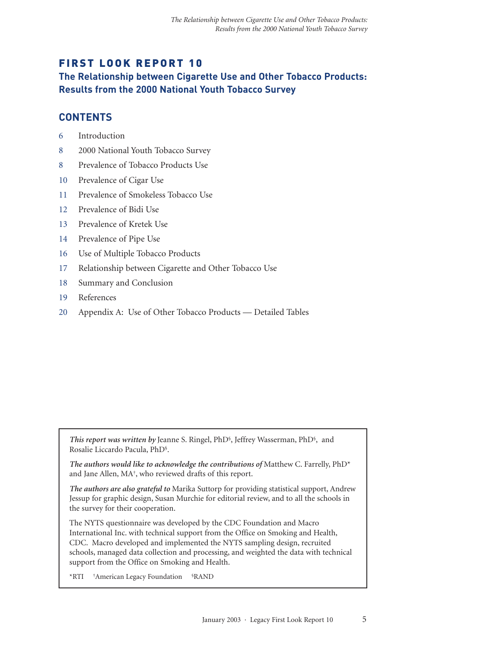## FIRST LOOK REPORT 10

**The Relationship between Cigarette Use and Other Tobacco Products: Results from the 2000 National Youth Tobacco Survey**

#### **CONTENTS**

- 6 Introduction
- 8 2000 National Youth Tobacco Survey
- 8 Prevalence of Tobacco Products Use
- 10 Prevalence of Cigar Use
- 11 Prevalence of Smokeless Tobacco Use
- 12 Prevalence of Bidi Use
- 13 Prevalence of Kretek Use
- 14 Prevalence of Pipe Use
- 16 Use of Multiple Tobacco Products
- 17 Relationship between Cigarette and Other Tobacco Use
- 18 Summary and Conclusion
- 19 References
- 20 Appendix A: Use of Other Tobacco Products Detailed Tables

*This report was written by* Jeanne S. Ringel, PhD§, Jeffrey Wasserman, PhD§, and Rosalie Liccardo Pacula, PhD§.

*The authors would like to acknowledge the contributions of* Matthew C. Farrelly, PhD\* and Jane Allen, MA†, who reviewed drafts of this report.

*The authors are also grateful to* Marika Suttorp for providing statistical support, Andrew Jessup for graphic design, Susan Murchie for editorial review, and to all the schools in the survey for their cooperation.

The NYTS questionnaire was developed by the CDC Foundation and Macro International Inc. with technical support from the Office on Smoking and Health, CDC. Macro developed and implemented the NYTS sampling design, recruited schools, managed data collection and processing, and weighted the data with technical support from the Office on Smoking and Health.

\*RTI †American Legacy Foundation §RAND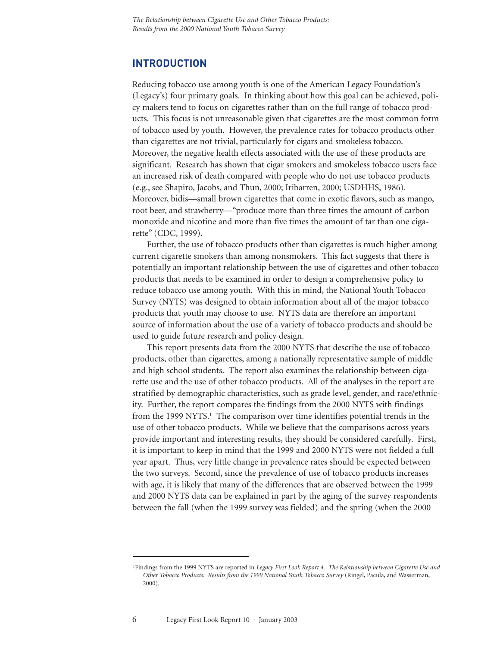#### **INTRODUCTION**

Reducing tobacco use among youth is one of the American Legacy Foundation's (Legacy's) four primary goals. In thinking about how this goal can be achieved, policy makers tend to focus on cigarettes rather than on the full range of tobacco products. This focus is not unreasonable given that cigarettes are the most common form of tobacco used by youth. However, the prevalence rates for tobacco products other than cigarettes are not trivial, particularly for cigars and smokeless tobacco. Moreover, the negative health effects associated with the use of these products are significant. Research has shown that cigar smokers and smokeless tobacco users face an increased risk of death compared with people who do not use tobacco products (e.g., see Shapiro, Jacobs, and Thun, 2000; Iribarren, 2000; USDHHS, 1986). Moreover, bidis—small brown cigarettes that come in exotic flavors, such as mango, root beer, and strawberry—"produce more than three times the amount of carbon monoxide and nicotine and more than five times the amount of tar than one cigarette" (CDC, 1999).

Further, the use of tobacco products other than cigarettes is much higher among current cigarette smokers than among nonsmokers. This fact suggests that there is potentially an important relationship between the use of cigarettes and other tobacco products that needs to be examined in order to design a comprehensive policy to reduce tobacco use among youth. With this in mind, the National Youth Tobacco Survey (NYTS) was designed to obtain information about all of the major tobacco products that youth may choose to use. NYTS data are therefore an important source of information about the use of a variety of tobacco products and should be used to guide future research and policy design.

This report presents data from the 2000 NYTS that describe the use of tobacco products, other than cigarettes, among a nationally representative sample of middle and high school students. The report also examines the relationship between cigarette use and the use of other tobacco products. All of the analyses in the report are stratified by demographic characteristics, such as grade level, gender, and race/ethnicity. Further, the report compares the findings from the 2000 NYTS with findings from the 1999 NYTS.<sup>1</sup> The comparison over time identifies potential trends in the use of other tobacco products. While we believe that the comparisons across years provide important and interesting results, they should be considered carefully. First, it is important to keep in mind that the 1999 and 2000 NYTS were not fielded a full year apart. Thus, very little change in prevalence rates should be expected between the two surveys. Second, since the prevalence of use of tobacco products increases with age, it is likely that many of the differences that are observed between the 1999 and 2000 NYTS data can be explained in part by the aging of the survey respondents between the fall (when the 1999 survey was fielded) and the spring (when the 2000

<sup>1</sup>Findings from the 1999 NYTS are reported in *Legacy First Look Report 4. The Relationship between Cigarette Use and Other Tobacco Products: Results from the 1999 National Youth Tobacco Survey* (Ringel, Pacula, and Wasserman, 2000).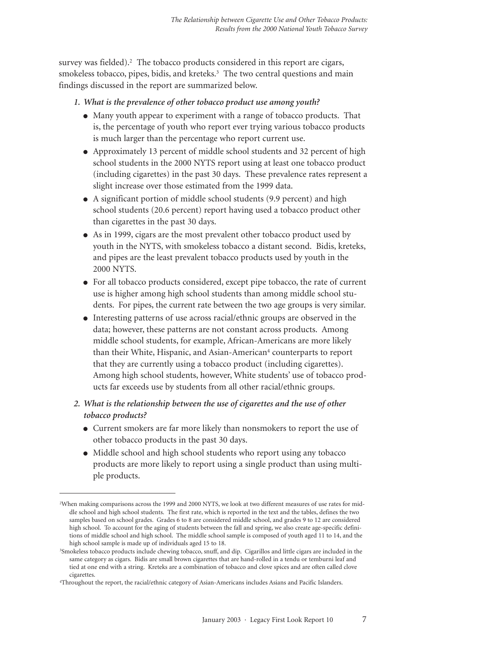survey was fielded).<sup>2</sup> The tobacco products considered in this report are cigars, smokeless tobacco, pipes, bidis, and kreteks.<sup>3</sup> The two central questions and main findings discussed in the report are summarized below.

- *1. What is the prevalence of other tobacco product use among youth?*
	- Many youth appear to experiment with a range of tobacco products. That is, the percentage of youth who report ever trying various tobacco products is much larger than the percentage who report current use.
	- Approximately 13 percent of middle school students and 32 percent of high school students in the 2000 NYTS report using at least one tobacco product (including cigarettes) in the past 30 days. These prevalence rates represent a slight increase over those estimated from the 1999 data.
	- A significant portion of middle school students (9.9 percent) and high school students (20.6 percent) report having used a tobacco product other than cigarettes in the past 30 days.
	- As in 1999, cigars are the most prevalent other tobacco product used by youth in the NYTS, with smokeless tobacco a distant second. Bidis, kreteks, and pipes are the least prevalent tobacco products used by youth in the 2000 NYTS.
	- For all tobacco products considered, except pipe tobacco, the rate of current use is higher among high school students than among middle school students. For pipes, the current rate between the two age groups is very similar.
	- Interesting patterns of use across racial/ethnic groups are observed in the data; however, these patterns are not constant across products. Among middle school students, for example, African-Americans are more likely than their White, Hispanic, and Asian-American<sup>4</sup> counterparts to report that they are currently using a tobacco product (including cigarettes). Among high school students, however, White students' use of tobacco products far exceeds use by students from all other racial/ethnic groups.
- *2. What is the relationship between the use of cigarettes and the use of other tobacco products?*
	- Current smokers are far more likely than nonsmokers to report the use of other tobacco products in the past 30 days.
	- Middle school and high school students who report using any tobacco products are more likely to report using a single product than using multiple products.

<sup>2</sup>When making comparisons across the 1999 and 2000 NYTS, we look at two different measures of use rates for middle school and high school students. The first rate, which is reported in the text and the tables, defines the two samples based on school grades. Grades 6 to 8 are considered middle school, and grades 9 to 12 are considered high school. To account for the aging of students between the fall and spring, we also create age-specific definitions of middle school and high school. The middle school sample is composed of youth aged 11 to 14, and the high school sample is made up of individuals aged 15 to 18.

<sup>3</sup>Smokeless tobacco products include chewing tobacco, snuff, and dip. Cigarillos and little cigars are included in the same category as cigars. Bidis are small brown cigarettes that are hand-rolled in a tendu or temburni leaf and tied at one end with a string. Kreteks are a combination of tobacco and clove spices and are often called clove cigarettes.

<sup>4</sup>Throughout the report, the racial/ethnic category of Asian-Americans includes Asians and Pacific Islanders.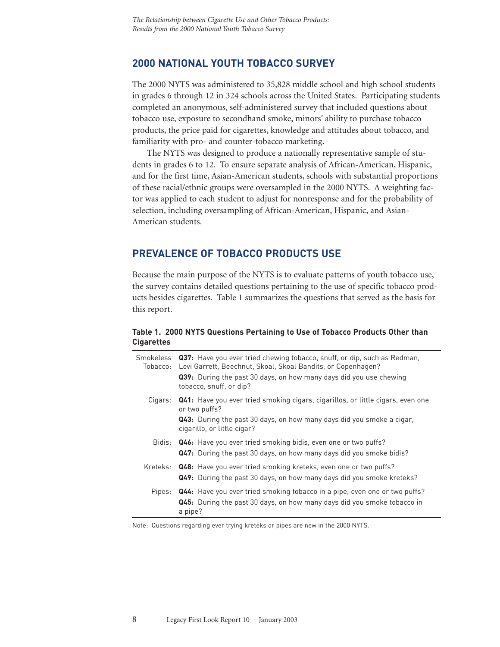#### **2000 NATIONAL YOUTH TOBACCO SURVEY**

The 2000 NYTS was administered to 35,828 middle school and high school students in grades 6 through 12 in 324 schools across the United States. Participating students completed an anonymous, self-administered survey that included questions about tobacco use, exposure to secondhand smoke, minors' ability to purchase tobacco products, the price paid for cigarettes, knowledge and attitudes about tobacco, and familiarity with pro- and counter-tobacco marketing.

The NYTS was designed to produce a nationally representative sample of students in grades 6 to 12. To ensure separate analysis of African-American, Hispanic, and for the first time, Asian-American students, schools with substantial proportions of these racial/ethnic groups were oversampled in the 2000 NYTS. A weighting factor was applied to each student to adjust for nonresponse and for the probability of selection, including oversampling of African-American, Hispanic, and Asian-American students.

#### **PREVALENCE OF TOBACCO PRODUCTS USE**

Because the main purpose of the NYTS is to evaluate patterns of youth tobacco use, the survey contains detailed questions pertaining to the use of specific tobacco products besides cigarettes. Table 1 summarizes the questions that served as the basis for this report.

#### **Table 1. 2000 NYTS Questions Pertaining to Use of Tobacco Products Other than Cigarettes**

| Smokeless<br>Tobacco: | Q37: Have you ever tried chewing tobacco, snuff, or dip, such as Redman,<br>Levi Garrett, Beechnut, Skoal, Skoal Bandits, or Copenhagen?                                       |
|-----------------------|--------------------------------------------------------------------------------------------------------------------------------------------------------------------------------|
|                       | <b>Q39:</b> During the past 30 days, on how many days did you use chewing<br>tobacco, snuff, or dip?                                                                           |
| Cigars:               | <b>Q41:</b> Have you ever tried smoking cigars, cigarillos, or little cigars, even one<br>or two puffs?                                                                        |
|                       | <b>Q43:</b> During the past 30 days, on how many days did you smoke a cigar,<br>cigarillo, or little cigar?                                                                    |
|                       | Bidis: Q46: Have you ever tried smoking bidis, even one or two puffs?<br>Q47: During the past 30 days, on how many days did you smoke bidis?                                   |
|                       | Kreteks: Q48: Have you ever tried smoking kreteks, even one or two puffs?<br><b>Q49:</b> During the past 30 days, on how many days did you smoke kreteks?                      |
|                       | Pipes: Q44: Have you ever tried smoking tobacco in a pipe, even one or two puffs?<br><b>Q45:</b> During the past 30 days, on how many days did you smoke tobacco in<br>a pipe? |

Note: Questions regarding ever trying kreteks or pipes are new in the 2000 NYTS.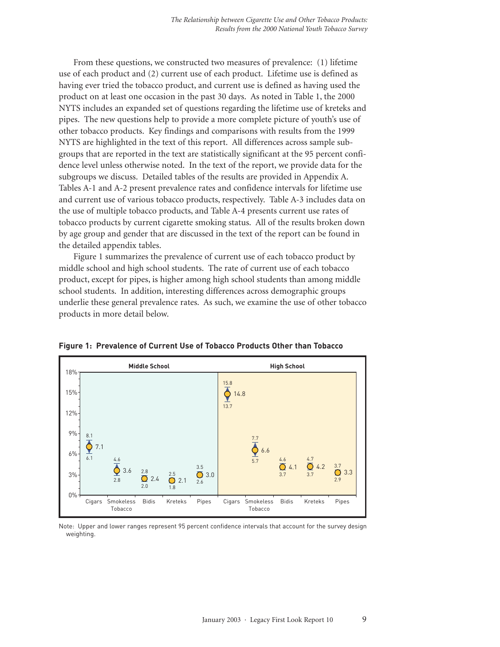From these questions, we constructed two measures of prevalence: (1) lifetime use of each product and (2) current use of each product. Lifetime use is defined as having ever tried the tobacco product, and current use is defined as having used the product on at least one occasion in the past 30 days. As noted in Table 1, the 2000 NYTS includes an expanded set of questions regarding the lifetime use of kreteks and pipes. The new questions help to provide a more complete picture of youth's use of other tobacco products. Key findings and comparisons with results from the 1999 NYTS are highlighted in the text of this report. All differences across sample subgroups that are reported in the text are statistically significant at the 95 percent confidence level unless otherwise noted. In the text of the report, we provide data for the subgroups we discuss. Detailed tables of the results are provided in Appendix A. Tables A-1 and A-2 present prevalence rates and confidence intervals for lifetime use and current use of various tobacco products, respectively. Table A-3 includes data on the use of multiple tobacco products, and Table A-4 presents current use rates of tobacco products by current cigarette smoking status. All of the results broken down by age group and gender that are discussed in the text of the report can be found in the detailed appendix tables. orted in the text are statistically significant at the therwise noted. In the text of the report, we provided in the text of the report, we provided in the text of the results are provided in the present prevalence rates a

Figure 1 summarizes the prevalence of current use of each tobacco product by middle school and high school students. The rate of current use of each tobacco product, except for pipes, is higher among high school students than among middle school students. In addition, interesting differences across demographic groups underlie these general prevalence rates. As such, we examine the use of other tobacco products in more detail below.



**Figure 1: Prevalence of Current Use of Tobacco Products Other than Tobacco**

Note: Upper and lower ranges represent 95 percent confidence intervals that account for the survey design weighting.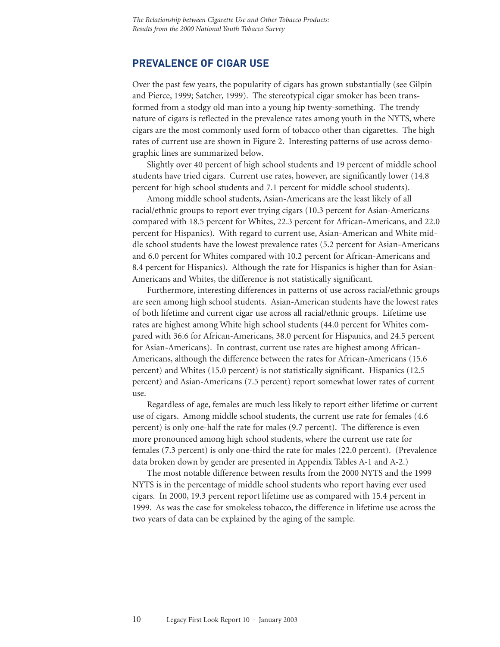#### **PREVALENCE OF CIGAR USE**

Over the past few years, the popularity of cigars has grown substantially (see Gilpin and Pierce, 1999; Satcher, 1999). The stereotypical cigar smoker has been transformed from a stodgy old man into a young hip twenty-something. The trendy nature of cigars is reflected in the prevalence rates among youth in the NYTS, where cigars are the most commonly used form of tobacco other than cigarettes. The high rates of current use are shown in Figure 2. Interesting patterns of use across demographic lines are summarized below.

Slightly over 40 percent of high school students and 19 percent of middle school students have tried cigars. Current use rates, however, are significantly lower (14.8 percent for high school students and 7.1 percent for middle school students).

Among middle school students, Asian-Americans are the least likely of all racial/ethnic groups to report ever trying cigars (10.3 percent for Asian-Americans compared with 18.5 percent for Whites, 22.3 percent for African-Americans, and 22.0 percent for Hispanics). With regard to current use, Asian-American and White middle school students have the lowest prevalence rates (5.2 percent for Asian-Americans and 6.0 percent for Whites compared with 10.2 percent for African-Americans and 8.4 percent for Hispanics). Although the rate for Hispanics is higher than for Asian-Americans and Whites, the difference is not statistically significant.

Furthermore, interesting differences in patterns of use across racial/ethnic groups are seen among high school students. Asian-American students have the lowest rates of both lifetime and current cigar use across all racial/ethnic groups. Lifetime use rates are highest among White high school students (44.0 percent for Whites compared with 36.6 for African-Americans, 38.0 percent for Hispanics, and 24.5 percent for Asian-Americans). In contrast, current use rates are highest among African-Americans, although the difference between the rates for African-Americans (15.6 percent) and Whites (15.0 percent) is not statistically significant. Hispanics (12.5 percent) and Asian-Americans (7.5 percent) report somewhat lower rates of current use.

Regardless of age, females are much less likely to report either lifetime or current use of cigars. Among middle school students, the current use rate for females (4.6 percent) is only one-half the rate for males (9.7 percent). The difference is even more pronounced among high school students, where the current use rate for females (7.3 percent) is only one-third the rate for males (22.0 percent). (Prevalence data broken down by gender are presented in Appendix Tables A-1 and A-2.)

The most notable difference between results from the 2000 NYTS and the 1999 NYTS is in the percentage of middle school students who report having ever used cigars. In 2000, 19.3 percent report lifetime use as compared with 15.4 percent in 1999. As was the case for smokeless tobacco, the difference in lifetime use across the two years of data can be explained by the aging of the sample.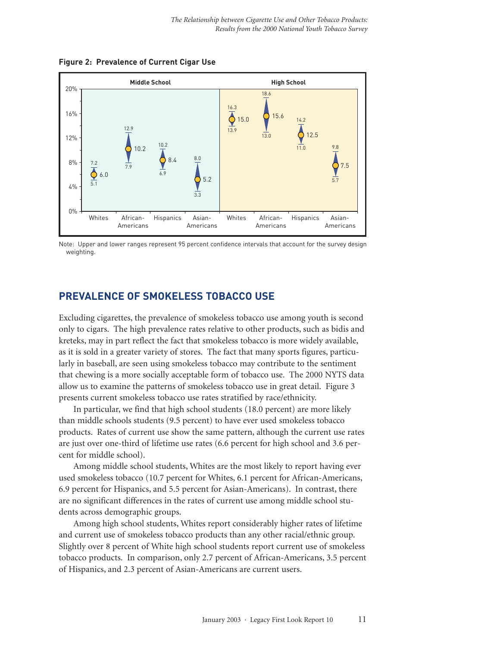**Figure 2: Prevalence of Current Cigar Use**



Note: Upper and lower ranges represent 95 percent confidence intervals that account for the survey design weighting.

## **PREVALENCE OF SMOKELESS TOBACCO USE**

Excluding cigarettes, the prevalence of smokeless tobacco use among youth is second only to cigars. The high prevalence rates relative to other products, such as bidis and kreteks, may in part reflect the fact that smokeless tobacco is more widely available, as it is sold in a greater variety of stores. The fact that many sports figures, particularly in baseball, are seen using smokeless tobacco may contribute to the sentiment that chewing is a more socially acceptable form of tobacco use. The 2000 NYTS data allow us to examine the patterns of smokeless tobacco use in great detail. Figure 3 presents current smokeless tobacco use rates stratified by race/ethnicity.

In particular, we find that high school students (18.0 percent) are more likely than middle schools students (9.5 percent) to have ever used smokeless tobacco products. Rates of current use show the same pattern, although the current use rates are just over one-third of lifetime use rates (6.6 percent for high school and 3.6 percent for middle school).

Among middle school students, Whites are the most likely to report having ever used smokeless tobacco (10.7 percent for Whites, 6.1 percent for African-Americans, 6.9 percent for Hispanics, and 5.5 percent for Asian-Americans). In contrast, there are no significant differences in the rates of current use among middle school students across demographic groups.

Among high school students, Whites report considerably higher rates of lifetime and current use of smokeless tobacco products than any other racial/ethnic group. Slightly over 8 percent of White high school students report current use of smokeless tobacco products. In comparison, only 2.7 percent of African-Americans, 3.5 percent of Hispanics, and 2.3 percent of Asian-Americans are current users.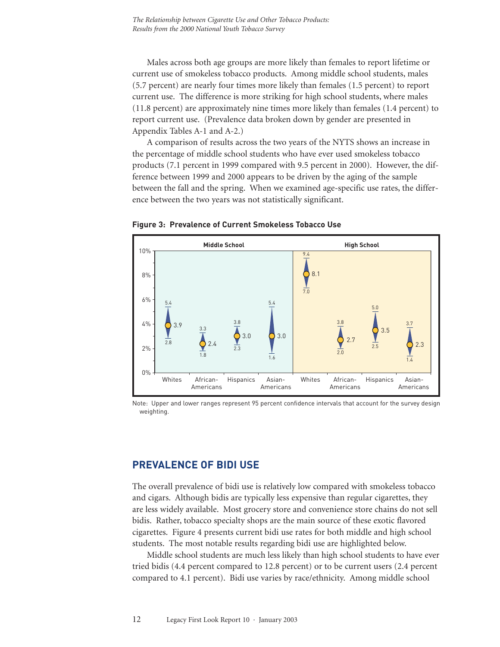Males across both age groups are more likely than females to report lifetime or current use of smokeless tobacco products. Among middle school students, males (5.7 percent) are nearly four times more likely than females (1.5 percent) to report current use. The difference is more striking for high school students, where males (11.8 percent) are approximately nine times more likely than females (1.4 percent) to report current use. (Prevalence data broken down by gender are presented in Appendix Tables A-1 and A-2.)

A comparison of results across the two years of the NYTS shows an increase in the percentage of middle school students who have ever used smokeless tobacco products (7.1 percent in 1999 compared with 9.5 percent in 2000). However, the difference between 1999 and 2000 appears to be driven by the aging of the sample between the fall and the spring. When we examined age-specific use rates, the difference between the two years was not statistically significant.



**Figure 3: Prevalence of Current Smokeless Tobacco Use**

Note: Upper and lower ranges represent 95 percent confidence intervals that account for the survey design weighting.

#### **PREVALENCE OF BIDI USE**

The overall prevalence of bidi use is relatively low compared with smokeless tobacco and cigars. Although bidis are typically less expensive than regular cigarettes, they are less widely available. Most grocery store and convenience store chains do not sell bidis. Rather, tobacco specialty shops are the main source of these exotic flavored cigarettes. Figure 4 presents current bidi use rates for both middle and high school students. The most notable results regarding bidi use are highlighted below.

Middle school students are much less likely than high school students to have ever tried bidis (4.4 percent compared to 12.8 percent) or to be current users (2.4 percent compared to 4.1 percent). Bidi use varies by race/ethnicity. Among middle school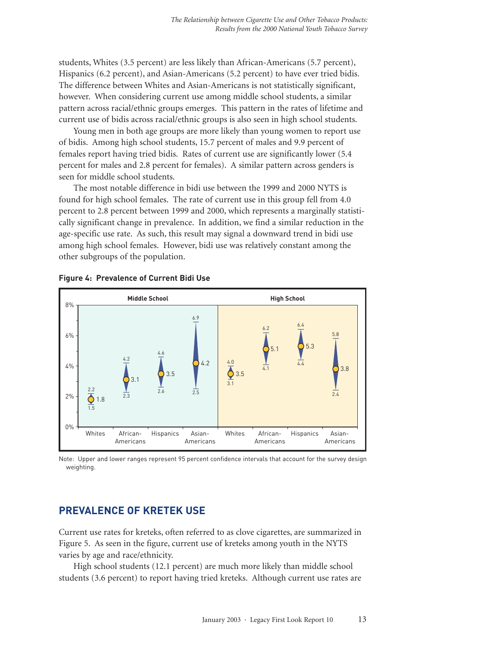students, Whites (3.5 percent) are less likely than African-Americans (5.7 percent), Hispanics (6.2 percent), and Asian-Americans (5.2 percent) to have ever tried bidis. The difference between Whites and Asian-Americans is not statistically significant, however. When considering current use among middle school students, a similar pattern across racial/ethnic groups emerges. This pattern in the rates of lifetime and current use of bidis across racial/ethnic groups is also seen in high school students.

Young men in both age groups are more likely than young women to report use of bidis. Among high school students, 15.7 percent of males and 9.9 percent of females report having tried bidis. Rates of current use are significantly lower (5.4 percent for males and 2.8 percent for females). A similar pattern across genders is seen for middle school students.

The most notable difference in bidi use between the 1999 and 2000 NYTS is found for high school females. The rate of current use in this group fell from 4.0 percent to 2.8 percent between 1999 and 2000, which represents a marginally statistically significant change in prevalence. In addition, we find a similar reduction in the age-specific use rate. As such, this result may signal a downward trend in bidi use among high school females. However, bidi use was relatively constant among the other subgroups of the population.





Note: Upper and lower ranges represent 95 percent confidence intervals that account for the survey design weighting.

#### **PREVALENCE OF KRETEK USE**

Current use rates for kreteks, often referred to as clove cigarettes, are summarized in Figure 5. As seen in the figure, current use of kreteks among youth in the NYTS varies by age and race/ethnicity.

High school students (12.1 percent) are much more likely than middle school students (3.6 percent) to report having tried kreteks. Although current use rates are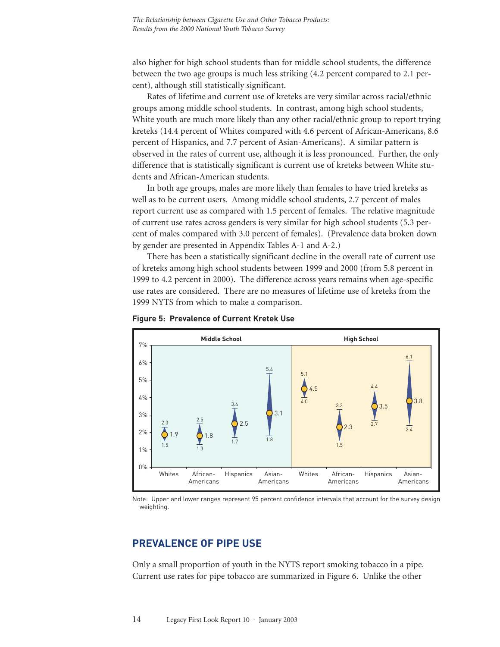also higher for high school students than for middle school students, the difference between the two age groups is much less striking (4.2 percent compared to 2.1 percent), although still statistically significant.

Rates of lifetime and current use of kreteks are very similar across racial/ethnic groups among middle school students. In contrast, among high school students, White youth are much more likely than any other racial/ethnic group to report trying kreteks (14.4 percent of Whites compared with 4.6 percent of African-Americans, 8.6 percent of Hispanics, and 7.7 percent of Asian-Americans). A similar pattern is observed in the rates of current use, although it is less pronounced. Further, the only difference that is statistically significant is current use of kreteks between White students and African-American students.

In both age groups, males are more likely than females to have tried kreteks as well as to be current users. Among middle school students, 2.7 percent of males report current use as compared with 1.5 percent of females. The relative magnitude of current use rates across genders is very similar for high school students (5.3 percent of males compared with 3.0 percent of females). (Prevalence data broken down by gender are presented in Appendix Tables A-1 and A-2.)

There has been a statistically significant decline in the overall rate of current use of kreteks among high school students between 1999 and 2000 (from 5.8 percent in 1999 to 4.2 percent in 2000). The difference across years remains when age-specific use rates are considered. There are no measures of lifetime use of kreteks from the 1999 NYTS from which to make a comparison.



#### **Figure 5: Prevalence of Current Kretek Use**

Note: Upper and lower ranges represent 95 percent confidence intervals that account for the survey design weighting.

#### **PREVALENCE OF PIPE USE**

Only a small proportion of youth in the NYTS report smoking tobacco in a pipe. Current use rates for pipe tobacco are summarized in Figure 6. Unlike the other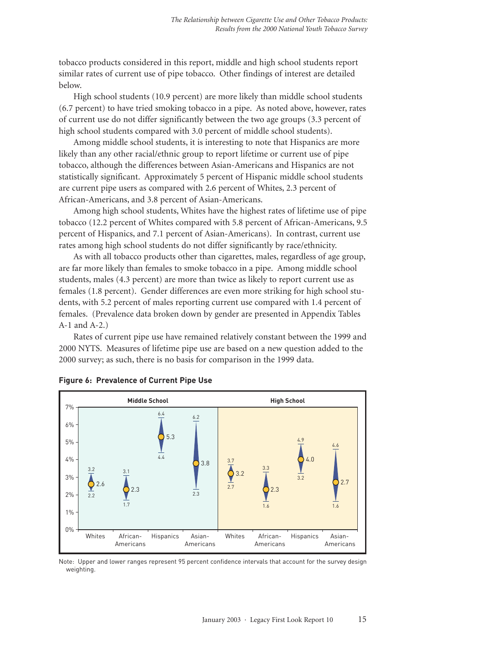tobacco products considered in this report, middle and high school students report similar rates of current use of pipe tobacco. Other findings of interest are detailed below.

High school students (10.9 percent) are more likely than middle school students (6.7 percent) to have tried smoking tobacco in a pipe. As noted above, however, rates of current use do not differ significantly between the two age groups (3.3 percent of high school students compared with 3.0 percent of middle school students).

Among middle school students, it is interesting to note that Hispanics are more likely than any other racial/ethnic group to report lifetime or current use of pipe tobacco, although the differences between Asian-Americans and Hispanics are not statistically significant. Approximately 5 percent of Hispanic middle school students are current pipe users as compared with 2.6 percent of Whites, 2.3 percent of African-Americans, and 3.8 percent of Asian-Americans.

Among high school students, Whites have the highest rates of lifetime use of pipe tobacco (12.2 percent of Whites compared with 5.8 percent of African-Americans, 9.5 percent of Hispanics, and 7.1 percent of Asian-Americans). In contrast, current use rates among high school students do not differ significantly by race/ethnicity.

As with all tobacco products other than cigarettes, males, regardless of age group, are far more likely than females to smoke tobacco in a pipe. Among middle school students, males (4.3 percent) are more than twice as likely to report current use as females (1.8 percent). Gender differences are even more striking for high school students, with 5.2 percent of males reporting current use compared with 1.4 percent of females. (Prevalence data broken down by gender are presented in Appendix Tables A-1 and A-2.)

Rates of current pipe use have remained relatively constant between the 1999 and 2000 NYTS. Measures of lifetime pipe use are based on a new question added to the 2000 survey; as such, there is no basis for comparison in the 1999 data.





Note: Upper and lower ranges represent 95 percent confidence intervals that account for the survey design weighting.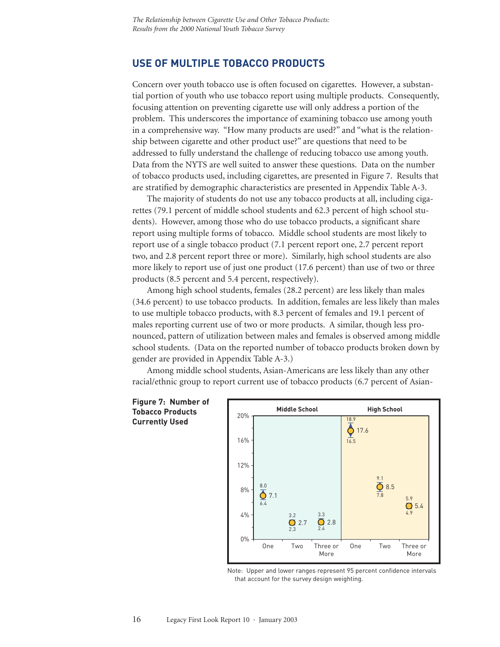#### **USE OF MULTIPLE TOBACCO PRODUCTS**

Concern over youth tobacco use is often focused on cigarettes. However, a substantial portion of youth who use tobacco report using multiple products. Consequently, focusing attention on preventing cigarette use will only address a portion of the problem. This underscores the importance of examining tobacco use among youth in a comprehensive way. "How many products are used?" and "what is the relationship between cigarette and other product use?" are questions that need to be addressed to fully understand the challenge of reducing tobacco use among youth. Data from the NYTS are well suited to answer these questions. Data on the number of tobacco products used, including cigarettes, are presented in Figure 7. Results that are stratified by demographic characteristics are presented in Appendix Table A-3.

The majority of students do not use any tobacco products at all, including cigarettes (79.1 percent of middle school students and 62.3 percent of high school students). However, among those who do use tobacco products, a significant share report using multiple forms of tobacco. Middle school students are most likely to report use of a single tobacco product (7.1 percent report one, 2.7 percent report two, and 2.8 percent report three or more). Similarly, high school students are also more likely to report use of just one product (17.6 percent) than use of two or three products (8.5 percent and 5.4 percent, respectively).

Among high school students, females (28.2 percent) are less likely than males (34.6 percent) to use tobacco products. In addition, females are less likely than males to use multiple tobacco products, with 8.3 percent of females and 19.1 percent of males reporting current use of two or more products. A similar, though less pronounced, pattern of utilization between males and females is observed among middle school students. (Data on the reported number of tobacco products broken down by gender are provided in Appendix Table A-3.)

Among middle school students, Asian-Americans are less likely than any other racial/ethnic group to report current use of tobacco products (6.7 percent of Asian-





Note: Upper and lower ranges represent 95 percent confidence intervals that account for the survey design weighting.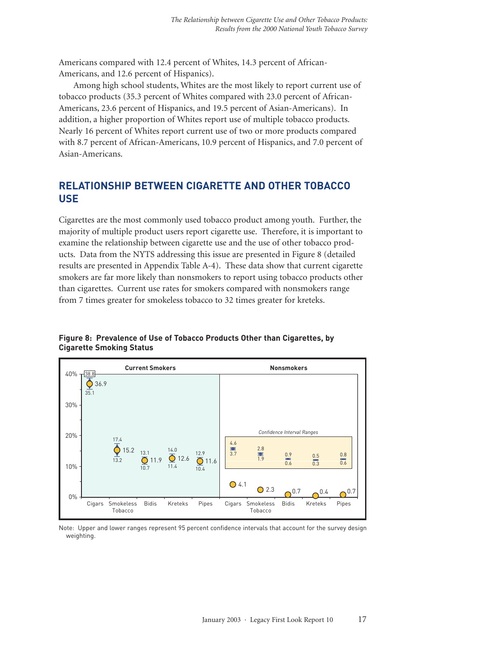Americans compared with 12.4 percent of Whites, 14.3 percent of African-Americans, and 12.6 percent of Hispanics).

Among high school students, Whites are the most likely to report current use of tobacco products (35.3 percent of Whites compared with 23.0 percent of African-Americans, 23.6 percent of Hispanics, and 19.5 percent of Asian-Americans). In addition, a higher proportion of Whites report use of multiple tobacco products. Nearly 16 percent of Whites report current use of two or more products compared with 8.7 percent of African-Americans, 10.9 percent of Hispanics, and 7.0 percent of Asian-Americans.

## **RELATIONSHIP BETWEEN CIGARETTE AND OTHER TOBACCO USE**

Cigarettes are the most commonly used tobacco product among youth. Further, the majority of multiple product users report cigarette use. Therefore, it is important to examine the relationship between cigarette use and the use of other tobacco products. Data from the NYTS addressing this issue are presented in Figure 8 (detailed results are presented in Appendix Table A-4). These data show that current cigarette smokers are far more likely than nonsmokers to report using tobacco products other than cigarettes. Current use rates for smokers compared with nonsmokers range from 7 times greater for smokeless tobacco to 32 times greater for kreteks.

**Current Smokers Nonsmokers** 13.2 35.1  $\overline{10.7}$  11.4  $\overline{10.4}$  $\bigcirc$  15.2 36.9  $\overline{O}$  11.9  $\Omega$  12.6  $\overline{O}$  11.6  $O$  4.1  $O$  2.3  $0.4 \qquad 0.7$ 17.4  $\overline{0}$  119  $\overline{0}$  12.6  $\overline{0}$ 0% 10% 20% 30% 40% Cigars Smokeless Tobacco arettes. Current use rates for smokers compared with<br>
Signals greater for smokeless tobacco to 32 times great<br>
Signals Current Smokers<br>
Confide<br>
Confide<br>
Confide<br>
Signals Current Smokers<br>
Signals Confide<br>
This Confide<br>
Th Tobacco compared with not<br>32 times greater for<br>**Nonsmo**<br>**Nonsmo**<br>**Confidence Inter<br>8.3.7**<br> $\frac{2.8}{1.9}$ <br>**C**<br>**Cigars** Smokeless Bidis<br>Tobacco<br>**Cigars** Smokeless Bidis<br>Tobacco *Confidence Interval Ranges* Kreteks Pipes  $3.7 \frac{1}{19}$  $\overline{0.6}$   $\overline{0.3}$   $\overline{0.6}$ 2.8 4.6 0.9 0.5 0.8 38.8

**Figure 8: Prevalence of Use of Tobacco Products Other than Cigarettes, by Cigarette Smoking Status**

Note: Upper and lower ranges represent 95 percent confidence intervals that account for the survey design weighting.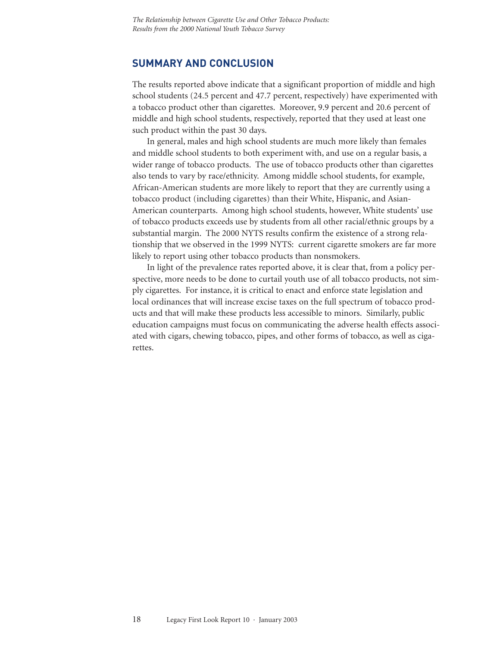#### **SUMMARY AND CONCLUSION**

The results reported above indicate that a significant proportion of middle and high school students (24.5 percent and 47.7 percent, respectively) have experimented with a tobacco product other than cigarettes. Moreover, 9.9 percent and 20.6 percent of middle and high school students, respectively, reported that they used at least one such product within the past 30 days.

In general, males and high school students are much more likely than females and middle school students to both experiment with, and use on a regular basis, a wider range of tobacco products. The use of tobacco products other than cigarettes also tends to vary by race/ethnicity. Among middle school students, for example, African-American students are more likely to report that they are currently using a tobacco product (including cigarettes) than their White, Hispanic, and Asian-American counterparts. Among high school students, however, White students' use of tobacco products exceeds use by students from all other racial/ethnic groups by a substantial margin. The 2000 NYTS results confirm the existence of a strong relationship that we observed in the 1999 NYTS: current cigarette smokers are far more likely to report using other tobacco products than nonsmokers.

In light of the prevalence rates reported above, it is clear that, from a policy perspective, more needs to be done to curtail youth use of all tobacco products, not simply cigarettes. For instance, it is critical to enact and enforce state legislation and local ordinances that will increase excise taxes on the full spectrum of tobacco products and that will make these products less accessible to minors. Similarly, public education campaigns must focus on communicating the adverse health effects associated with cigars, chewing tobacco, pipes, and other forms of tobacco, as well as cigarettes.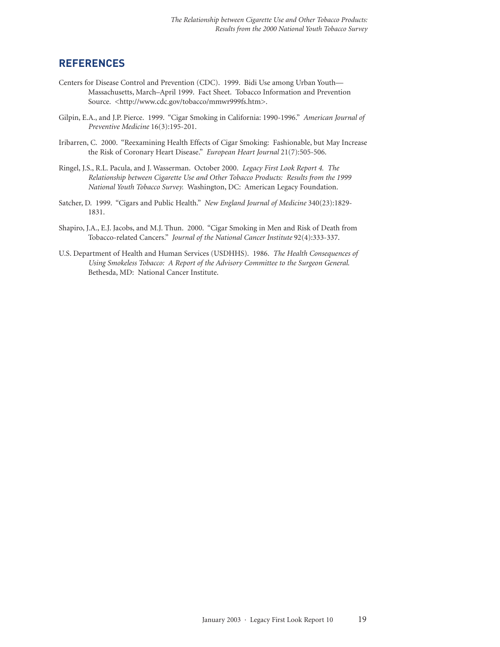#### **REFERENCES**

- Centers for Disease Control and Prevention (CDC). 1999. Bidi Use among Urban Youth— Massachusetts, March–April 1999. Fact Sheet. Tobacco Information and Prevention Source. <http://www.cdc.gov/tobacco/mmwr999fs.htm>.
- Gilpin, E.A., and J.P. Pierce. 1999. "Cigar Smoking in California: 1990-1996." *American Journal of Preventive Medicine* 16(3):195-201.
- Iribarren, C. 2000. "Reexamining Health Effects of Cigar Smoking: Fashionable, but May Increase the Risk of Coronary Heart Disease." *European Heart Journal* 21(7):505-506.
- Ringel, J.S., R.L. Pacula, and J. Wasserman. October 2000. *Legacy First Look Report 4. The Relationship between Cigarette Use and Other Tobacco Products: Results from the 1999 National Youth Tobacco Survey.* Washington, DC: American Legacy Foundation.
- Satcher, D. 1999. "Cigars and Public Health." *New England Journal of Medicine* 340(23):1829- 1831.
- Shapiro, J.A., E.J. Jacobs, and M.J. Thun. 2000. "Cigar Smoking in Men and Risk of Death from Tobacco-related Cancers." *Journal of the National Cancer Institute* 92(4):333-337.
- U.S. Department of Health and Human Services (USDHHS). 1986. *The Health Consequences of Using Smokeless Tobacco: A Report of the Advisory Committee to the Surgeon General.* Bethesda, MD: National Cancer Institute.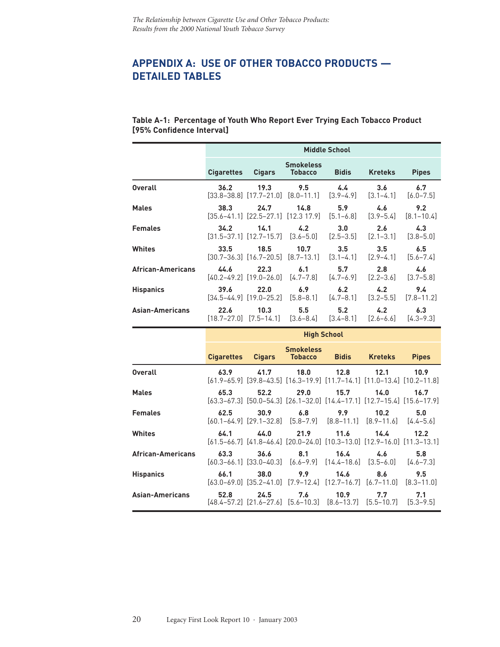## **APPENDIX A: USE OF OTHER TOBACCO PRODUCTS — DETAILED TABLES**

#### **Table A-1: Percentage of Youth Who Report Ever Trying Each Tobacco Product [95% Confidence Interval]**

|                   |                   | <b>Middle School</b>                                                                                                                      |                                                        |                                |                      |                       |
|-------------------|-------------------|-------------------------------------------------------------------------------------------------------------------------------------------|--------------------------------------------------------|--------------------------------|----------------------|-----------------------|
|                   | <b>Cigarettes</b> | <b>Cigars</b>                                                                                                                             | <b>Smokeless</b><br><b>Tobacco</b>                     | <b>Bidis</b>                   | <b>Kreteks</b>       | <b>Pipes</b>          |
| <b>Overall</b>    | 36.2              | 19.3<br>$[33.8-38.8]$ $[17.7-21.0]$ $[8.0-11.1]$                                                                                          | 9.5                                                    | $4.4^{\circ}$<br>$[3.9 - 4.9]$ | 3.6<br>$[3.1 - 4.1]$ | 6.7<br>$[6.0 - 7.5]$  |
| <b>Males</b>      | 38.3              | 24.7                                                                                                                                      | 14.8<br>[35.6–41.1] [22.5–27.1] [12.3 17.9]            | 5.9<br>$[5.1 - 6.8]$           | 4.6<br>$[3.9 - 5.4]$ | 9.2<br>$[8.1 - 10.4]$ |
| <b>Females</b>    | 34.2              | 14.1<br>$\begin{bmatrix} 31.5 - 37.1 \end{bmatrix}$ $\begin{bmatrix} 12.7 - 15.7 \end{bmatrix}$ $\begin{bmatrix} 3.6 - 5.0 \end{bmatrix}$ | 4.2                                                    | 3.0<br>$[2.5 - 3.5]$           | 2.6<br>$[2.1 - 3.1]$ | 4.3<br>$[3.8 - 5.0]$  |
| Whites            | 33.5              | 18.5                                                                                                                                      | 10.7<br>$[30.7 - 36.3]$ $[16.7 - 20.5]$ $[8.7 - 13.1]$ | 3.5<br>$[3.1 - 4.1]$           | 3.5<br>$[2.9 - 4.1]$ | 6.5<br>$[5.6 - 7.4]$  |
| African-Americans | 44.6              | 22.3<br>[40.2-49.2] [19.0-26.0]                                                                                                           | 6.1<br>[4.7–7.8]                                       | 5.7<br>$[4.7 - 6.9]$           | 2.8<br>$[2.2 - 3.6]$ | 4.6<br>$[3.7 - 5.8]$  |
| <b>Hispanics</b>  | 39.6              | 22.0<br>$[34.5 - 44.9]$ $[19.0 - 25.2]$                                                                                                   | 6.9<br>$[5.8 - 8.1]$                                   | 6.2<br>$[4.7 - 8.1]$           | 4.2<br>$[3.2 - 5.5]$ | 9.4<br>$[7.8 - 11.2]$ |
| Asian-Americans   | 22.6              | 10.3<br>[18.7-27.0] [7.5-14.1]                                                                                                            | 5.5<br>$[3.6 - 8.4]$                                   | 5.2<br>$[3.4 - 8.1]$           | 4.2<br>$[2.6 - 6.6]$ | 6.3<br>$[4.3 - 9.3]$  |
|                   |                   |                                                                                                                                           | <b>High School</b>                                     |                                |                      |                       |

|                          |      |      | <b>Smokeless</b> | Cigarettes Cigars Tobacco Bidis Kreteks                                                          |      | <b>Pipes</b> |
|--------------------------|------|------|------------------|--------------------------------------------------------------------------------------------------|------|--------------|
| <b>Overall</b>           | 63.9 | 41.7 | 18.0             | 12.8<br>$[61.9-65.9]$ $[39.8-43.5]$ $[16.3-19.9]$ $[11.7-14.1]$ $[11.0-13.4]$ $[10.2-11.8]$      | 12.1 | 10.9         |
| <b>Males</b>             | 65.3 | 52.2 | 29.0             | 15.7<br>$[63.3-67.3]$ $[50.0-54.3]$ $[26.1-32.0]$ $[14.4-17.1]$ $[12.7-15.4]$ $[15.6-17.9]$      | 14.0 | 16.7         |
| <b>Females</b>           | 62.5 | 30.9 | 6.8              | 9.9<br>$[60.1 - 64.9]$ $[29.1 - 32.8]$ $[5.8 - 7.9]$ $[8.8 - 11.1]$ $[8.9 - 11.6]$ $[4.4 - 5.6]$ | 10.2 | 5.0          |
| Whites                   | 64.1 |      |                  | 44.0 21.9 11.6 14.4<br>[61.5-66.7] [41.8-46.4] [20.0-24.0] [10.3-13.0] [12.9-16.0] [11.3-13.1]   |      | 12.2         |
| <b>African-Americans</b> | 63.3 | 36.6 |                  | 8.1 16.4<br>[60.3-66.1] [33.0-40.3] [6.6-9.9] [14.4-18.6] [3.5-6.0] [4.6-7.3]                    | 4.6  | 5.8          |
| <b>Hispanics</b>         | 66.1 | 38.0 |                  | 9.9 14.6<br>$[63.0-69.0]$ $[35.2-41.0]$ $[7.9-12.4]$ $[12.7-16.7]$ $[6.7-11.0]$ $[8.3-11.0]$     | 8.6  | 9.5          |
| Asian-Americans          | 52.8 | 24.5 |                  | 7.6 10.9 7.7<br>$[48.4-57.2]$ $[21.6-27.6]$ $[5.6-10.3]$ $[8.6-13.7]$ $[5.5-10.7]$ $[5.3-9.5]$   |      | 7.1          |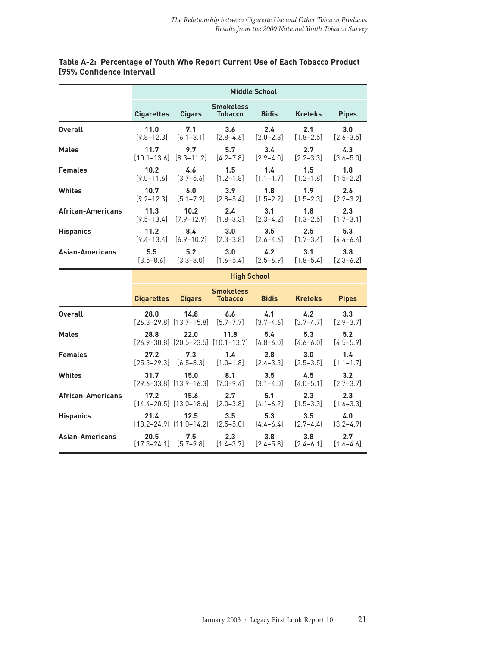|                          | <b>Middle School</b> |                   |                                    |               |                |               |
|--------------------------|----------------------|-------------------|------------------------------------|---------------|----------------|---------------|
|                          | <b>Cigarettes</b>    | <b>Cigars</b>     | <b>Smokeless</b><br><b>Tobacco</b> | <b>Bidis</b>  | <b>Kreteks</b> | <b>Pipes</b>  |
| <b>Overall</b>           | 11.0                 | 7.1               | 3.6                                | 2.4           | 2.1            | 3.0           |
|                          | $[9.8 - 12.3]$       | $[6.1 - 8.1]$     | $[2.8 - 4.6]$                      | $[2.0 - 2.8]$ | $[1.8 - 2.5]$  | $[2.6 - 3.5]$ |
| <b>Males</b>             | 11.7                 | 9.7               | 5.7                                | $3.4^{\circ}$ | 2.7            | 4.3           |
|                          | $[10.1 - 13.6]$      | $[8.3 - 11.2]$    | $[4.2 - 7.8]$                      | $[2.9 - 4.0]$ | $[2.2 - 3.3]$  | $[3.6 - 5.0]$ |
| <b>Females</b>           | 10.2                 | 4.6               | 1.5                                | $1.4^{\circ}$ | 1.5            | 1.8           |
|                          | $[9.0 - 11.6]$       | $[3.7 - 5.6]$     | $[1.2 - 1.8]$                      | $[1.1 - 1.7]$ | $[1.2 - 1.8]$  | $[1.5 - 2.2]$ |
| <b>Whites</b>            | 10.7                 | 6.0               | 3.9 <sub>2</sub>                   | 1.8           | 1.9            | 2.6           |
|                          | $[9.2 - 12.3]$       | $[5.1 - 7.2]$     | $[2.8 - 5.4]$                      | $[1.5 - 2.2]$ | $[1.5 - 2.3]$  | $[2.2 - 3.2]$ |
| <b>African-Americans</b> | 11.3                 | 10.2 <sub>1</sub> | $2.4^{\circ}$                      | 3.1           | 1.8            | 2.3           |
|                          | $[9.5 - 13.4]$       | $[7.9 - 12.9]$    | $[1.8 - 3.3]$                      | $[2.3 - 4.2]$ | $[1.3 - 2.5]$  | $[1.7 - 3.1]$ |
| <b>Hispanics</b>         | 11.2                 | 8.4               | 3.0                                | 3.5           | 2.5            | 5.3           |
|                          | $[9.4 - 13.4]$       | $[6.9 - 10.2]$    | $[2.3 - 3.8]$                      | $[2.6 - 4.6]$ | $[1.7 - 3.4]$  | $[4.4 - 6.4]$ |
| Asian-Americans          | 5.5                  | 5.2               | 3.0                                | $4.2^{\circ}$ | 3.1            | 3.8           |
|                          | $[3.5 - 8.6]$        | $[3.3 - 8.0]$     | $[1.6 - 5.4]$                      | $[2.5 - 6.9]$ | $[1.8 - 5.4]$  | $[2.3 - 6.2]$ |

#### **Table A-2: Percentage of Youth Who Report Current Use of Each Tobacco Product [95% Confidence Interval]**

|                          |                          | <b>High School</b>                      |                                                   |                                |                                   |                      |
|--------------------------|--------------------------|-----------------------------------------|---------------------------------------------------|--------------------------------|-----------------------------------|----------------------|
|                          | <b>Cigarettes Cigars</b> |                                         | <b>Smokeless</b><br><b>Tobacco</b>                | <b>Bidis</b>                   | <b>Kreteks</b>                    | <b>Pipes</b>         |
| <b>Overall</b>           | 28.0                     | 14.8<br>$[26.3-29.8]$ $[13.7-15.8]$     | 6.6<br>$[5.7 - 7.7]$                              | 4.1<br>$[3.7 - 4.6]$           | 4.2<br>$[3.7 - 4.7]$              | 3.3<br>$[2.9 - 3.7]$ |
| <b>Males</b>             | 28.8                     | 22.0                                    | 11.8<br>$[26.9-30.8]$ $[20.5-23.5]$ $[10.1-13.7]$ | 5.4<br>$[4.8 - 6.0]$           | 5.3<br>$[4.6 - 6.0]$              | 5.2<br>$[4.5 - 5.9]$ |
| <b>Females</b>           | 27.2                     | 7.3<br>$[25.3-29.3]$ $[6.5-8.3]$        | 1.4<br>$[1.0 - 1.8]$                              | 2.8<br>$[2.4 - 3.3]$           | 3.0<br>$[2.5 - 3.5]$              | 1.4<br>$[1.1 - 1.7]$ |
| <b>Whites</b>            | 31.7                     | 15.0<br>$[29.6 - 33.8]$ $[13.9 - 16.3]$ | 8.1<br>$[7.0 - 9.4]$                              | $3.5^{\circ}$<br>$[3.1 - 4.0]$ | 4.5<br>$[4.0 - 5.1]$              | 3.2<br>$[2.7 - 3.7]$ |
| <b>African-Americans</b> | 17.2                     | 15.6<br>$[14.4 - 20.5]$ $[13.0 - 18.6]$ | 2.7<br>$[2.0 - 3.8]$                              | 5.1<br>$[4.1 - 6.2]$           | 2.3<br>$[1.5 - 3.3]$              | 2.3<br>$[1.6 - 3.3]$ |
| <b>Hispanics</b>         | 21.4                     | 12.5<br>$[18.2 - 24.9]$ $[11.0 - 14.2]$ | 3.5<br>$[2.5 - 5.0]$                              | 5.3<br>$[4.4 - 6.4]$           | 3.5<br>$[2.7 - 4.4]$              | 4.0<br>$[3.2 - 4.9]$ |
| <b>Asian-Americans</b>   | 20.5                     | 7.5<br>[17.3–24.1] [5.7–9.8]            | 2.3<br>$[1.4 - 3.7]$                              | 3.8<br>$[2.4 - 5.8]$           | 3.8 <sub>1</sub><br>$[2.4 - 6.1]$ | 2.7<br>$[1.6 - 4.6]$ |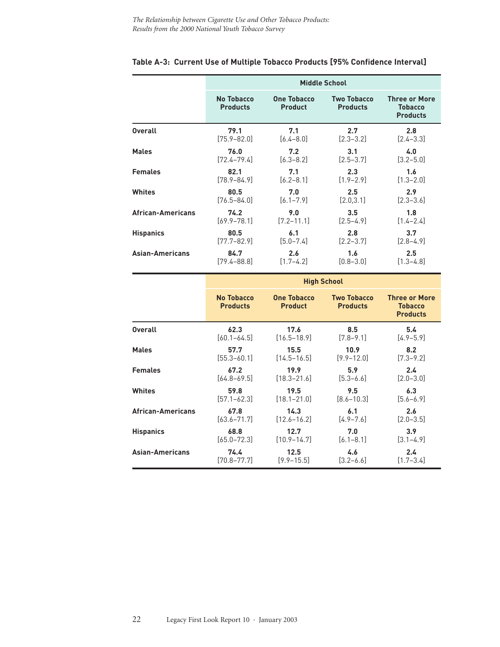|                          | <b>Middle School</b>          |                                      |                                       |                                                           |  |
|--------------------------|-------------------------------|--------------------------------------|---------------------------------------|-----------------------------------------------------------|--|
|                          | No Tobacco<br><b>Products</b> | <b>One Tobacco</b><br><b>Product</b> | <b>Two Tobacco</b><br><b>Products</b> | <b>Three or More</b><br><b>Tobacco</b><br><b>Products</b> |  |
| <b>Overall</b>           | 79.1                          | 7.1                                  | 2.7                                   | 2.8                                                       |  |
|                          | $[75.9 - 82.0]$               | $[6.4 - 8.0]$                        | $[2.3 - 3.2]$                         | $[2.4 - 3.3]$                                             |  |
| <b>Males</b>             | 76.0                          | 7.2                                  | 3.1                                   | 4.0                                                       |  |
|                          | $[72.4 - 79.4]$               | $[6.3 - 8.2]$                        | $[2.5 - 3.7]$                         | $[3.2 - 5.0]$                                             |  |
| <b>Females</b>           | 82.1                          | 7.1                                  | 2.3                                   | 1.6                                                       |  |
|                          | $[78.9 - 84.9]$               | $[6.2 - 8.1]$                        | $[1.9 - 2.9]$                         | $[1.3 - 2.0]$                                             |  |
| Whites                   | 80.5                          | 7.0                                  | 2.5                                   | 2.9                                                       |  |
|                          | $[76.5 - 84.0]$               | $[6.1 - 7.9]$                        | [2.0, 3.1]                            | $[2.3 - 3.6]$                                             |  |
| <b>African-Americans</b> | 74.2                          | 9.0                                  | 3.5                                   | 1.8                                                       |  |
|                          | $[69.9 - 78.1]$               | $[7.2 - 11.1]$                       | $[2.5 - 4.9]$                         | $[1.4 - 2.4]$                                             |  |
| <b>Hispanics</b>         | 80.5                          | 6.1                                  | 2.8                                   | 3.7                                                       |  |
|                          | $[77.7 - 82.9]$               | $[5.0 - 7.4]$                        | $[2.2 - 3.7]$                         | $[2.8 - 4.9]$                                             |  |
| Asian-Americans          | 84.7                          | 2.6                                  | 1.6                                   | 2.5                                                       |  |
|                          | [79.4–88.8]                   | $[1.7 - 4.2]$                        | $[0.8 - 3.0]$                         | $[1.3 - 4.8]$                                             |  |

#### **Table A-3: Current Use of Multiple Tobacco Products [95% Confidence Interval]**

|                          | <b>High School</b>            |                                      |                                       |                                                           |  |  |
|--------------------------|-------------------------------|--------------------------------------|---------------------------------------|-----------------------------------------------------------|--|--|
|                          | No Tobacco<br><b>Products</b> | <b>One Tobacco</b><br><b>Product</b> | <b>Two Tobacco</b><br><b>Products</b> | <b>Three or More</b><br><b>Tobacco</b><br><b>Products</b> |  |  |
| <b>Overall</b>           | 62.3                          | 17.6                                 | 8.5                                   | 5.4                                                       |  |  |
|                          | $[60.1 - 64.5]$               | $[16.5 - 18.9]$                      | $[7.8 - 9.1]$                         | $[4.9 - 5.9]$                                             |  |  |
| <b>Males</b>             | 57.7                          | 15.5                                 | 10.9                                  | 8.2                                                       |  |  |
|                          | $[55.3 - 60.1]$               | $[14.5 - 16.5]$                      | $[9.9 - 12.0]$                        | $[7.3 - 9.2]$                                             |  |  |
| <b>Females</b>           | 67.2                          | 19.9                                 | 5.9                                   | 2.4                                                       |  |  |
|                          | $[64.8 - 69.5]$               | $[18.3 - 21.6]$                      | $[5.3 - 6.6]$                         | $[2.0 - 3.0]$                                             |  |  |
| Whites                   | 59.8                          | 19.5                                 | 9.5                                   | 6.3                                                       |  |  |
|                          | [57.1–62.3]                   | $[18.1 - 21.0]$                      | $[8.6 - 10.3]$                        | $[5.6 - 6.9]$                                             |  |  |
| <b>African-Americans</b> | 67.8                          | 14.3                                 | 6.1                                   | 2.6                                                       |  |  |
|                          | [63.6–71.7]                   | $[12.6 - 16.2]$                      | $[4.9 - 7.6]$                         | $[2.0 - 3.5]$                                             |  |  |
| <b>Hispanics</b>         | 68.8                          | 12.7                                 | 7.0                                   | 3.9                                                       |  |  |
|                          | $[65.0 - 72.3]$               | $[10.9 - 14.7]$                      | $[6.1 - 8.1]$                         | $[3.1 - 4.9]$                                             |  |  |
| Asian-Americans          | 74.4                          | 12.5                                 | 4.6                                   | $2.4^{\circ}$                                             |  |  |
|                          | [70.8–77.7]                   | $[9.9 - 15.5]$                       | $[3.2 - 6.6]$                         | $[1.7 - 3.4]$                                             |  |  |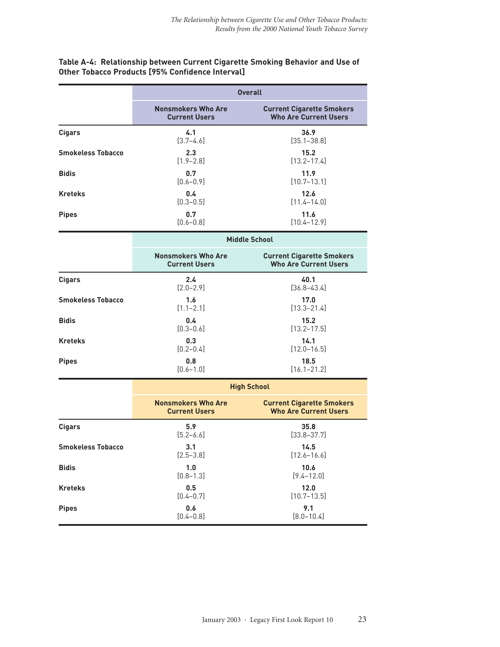#### **Table A-4: Relationship between Current Cigarette Smoking Behavior and Use of Other Tobacco Products [95% Confidence Interval]**

|                          |                                                   | <b>Overall</b>                                                   |
|--------------------------|---------------------------------------------------|------------------------------------------------------------------|
|                          | <b>Nonsmokers Who Are</b><br><b>Current Users</b> | <b>Current Cigarette Smokers</b><br><b>Who Are Current Users</b> |
| <b>Cigars</b>            | 4.1<br>$[3.7 - 4.6]$                              | 36.9<br>$[35.1 - 38.8]$                                          |
| <b>Smokeless Tobacco</b> | 2.3<br>$[1.9 - 2.8]$                              | 15.2<br>$[13.2 - 17.4]$                                          |
| <b>Bidis</b>             | 0.7<br>$[0.6 - 0.9]$                              | 11.9<br>$[10.7 - 13.1]$                                          |
| <b>Kreteks</b>           | 0.4<br>$[0.3 - 0.5]$                              | 12.6<br>$[11.4 - 14.0]$                                          |
| <b>Pipes</b>             | 0.7<br>$[0.6 - 0.8]$                              | 11.6<br>$[10.4 - 12.9]$                                          |
|                          |                                                   | <b>Middle School</b>                                             |
|                          | <b>Nonsmokers Who Are</b><br><b>Current Users</b> | <b>Current Cigarette Smokers</b><br><b>Who Are Current Users</b> |
| <b>Cigars</b>            | 2.4<br>$[2.0 - 2.9]$                              | 40.1<br>$[36.8 - 43.4]$                                          |
| <b>Smokeless Tobacco</b> | 1.6<br>$[1.1 - 2.1]$                              | 17.0<br>$[13.3 - 21.4]$                                          |
| <b>Bidis</b>             | 0.4<br>$[0.3 - 0.6]$                              | 15.2<br>$[13.2 - 17.5]$                                          |
| <b>Kreteks</b>           | 0.3<br>$[0.2 - 0.4]$                              | 14.1<br>$[12.0 - 16.5]$                                          |
| <b>Pipes</b>             | 0.8<br>$[0.6 - 1.0]$                              | 18.5<br>$[16.1 - 21.2]$                                          |
|                          |                                                   | <b>High School</b>                                               |
|                          | <b>Nonsmokers Who Are</b><br><b>Current Users</b> | <b>Current Cigarette Smokers</b><br><b>Who Are Current Users</b> |
| <b>Cigars</b>            | 5.9<br>$[5.2 - 6.6]$                              | 35.8<br>$[33.8 - 37.7]$                                          |
| <b>Smokeless Tobacco</b> | 3.1<br>$[2.5 - 3.8]$                              | 14.5<br>$[12.6 - 16.6]$                                          |
| <b>Bidis</b>             | 1.0<br>$[0.8 - 1.3]$                              | 10.6<br>$[9.4 - 12.0]$                                           |
| <b>Kreteks</b>           | 0.5<br>$[0.4 - 0.7]$                              | 12.0<br>$[10.7 - 13.5]$                                          |
| <b>Pipes</b>             | 0.6<br>$[0.4 - 0.8]$                              | 9.1<br>$[8.0 - 10.4]$                                            |